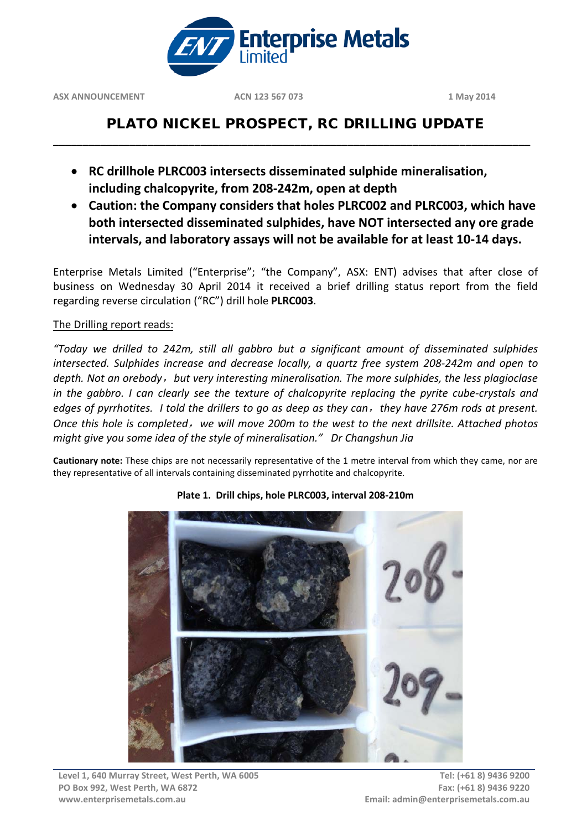

# PLATO NICKEL PROSPECT, RC DRILLING UPDATE

**\_\_\_\_\_\_\_\_\_\_\_\_\_\_\_\_\_\_\_\_\_\_\_\_\_\_\_\_\_\_\_\_\_\_\_\_\_\_\_\_\_\_\_\_\_\_\_\_\_\_\_\_\_\_\_\_\_\_\_\_\_\_\_\_\_\_\_\_\_\_\_\_\_\_\_\_\_\_\_\_\_**

- **RC drillhole PLRC003 intersects disseminated sulphide mineralisation, including chalcopyrite, from 208-242m, open at depth**
- **Caution: the Company considers that holes PLRC002 and PLRC003, which have both intersected disseminated sulphides, have NOT intersected any ore grade intervals, and laboratory assays will not be available for at least 10-14 days.**

Enterprise Metals Limited ("Enterprise"; "the Company", ASX: ENT) advises that after close of business on Wednesday 30 April 2014 it received a brief drilling status report from the field regarding reverse circulation ("RC") drill hole **PLRC003**.

## The Drilling report reads:

*"Today we drilled to 242m, still all gabbro but a significant amount of disseminated sulphides intersected. Sulphides increase and decrease locally, a quartz free system 208-242m and open to depth. Not an orebody*,*but very interesting mineralisation. The more sulphides, the less plagioclase in the gabbro. I can clearly see the texture of chalcopyrite replacing the pyrite cube-crystals and edges of pyrrhotites. I told the drillers to go as deep as they can*,*they have 276m rods at present. Once this hole is completed*,*we will move 200m to the west to the next drillsite. Attached photos might give you some idea of the style of mineralisation." Dr Changshun Jia*

**Cautionary note:** These chips are not necessarily representative of the 1 metre interval from which they came, nor are they representative of all intervals containing disseminated pyrrhotite and chalcopyrite.



### **Plate 1. Drill chips, hole PLRC003, interval 208-210m**

**Level 1, 640 Murray Street, West Perth, WA 6005 PO Box 992, West Perth, WA 6872 www.enterprisemetals.com.au**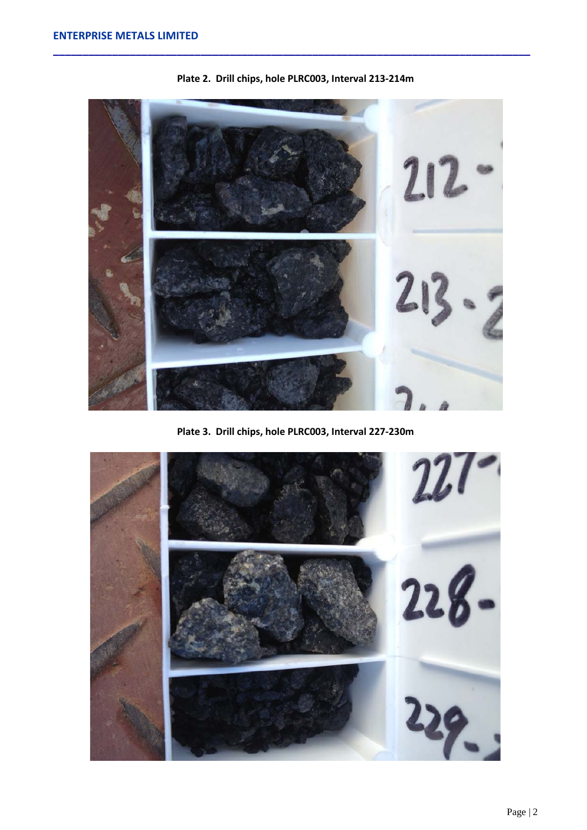

**Plate 2. Drill chips, hole PLRC003, Interval 213-214m**

**Plate 3. Drill chips, hole PLRC003, Interval 227-230m**

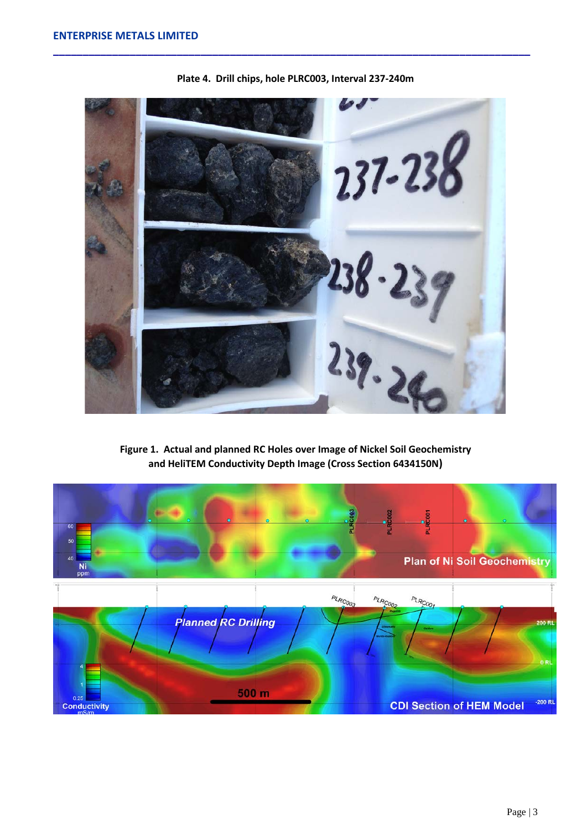

**Plate 4. Drill chips, hole PLRC003, Interval 237-240m**

**Figure 1. Actual and planned RC Holes over Image of Nickel Soil Geochemistry and HeliTEM Conductivity Depth Image (Cross Section 6434150N)**

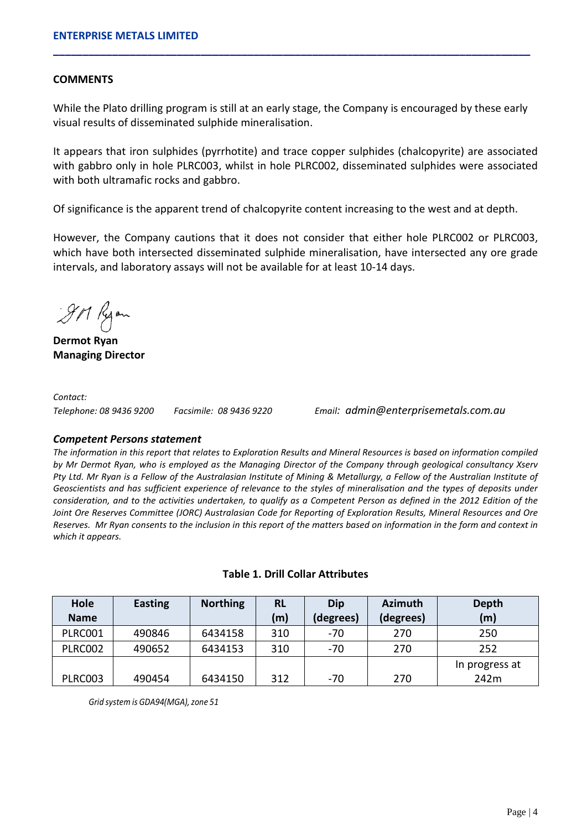### **COMMENTS**

While the Plato drilling program is still at an early stage, the Company is encouraged by these early visual results of disseminated sulphide mineralisation.

**\_\_\_\_\_\_\_\_\_\_\_\_\_\_\_\_\_\_\_\_\_\_\_\_\_\_\_\_\_\_\_\_\_\_\_\_\_\_\_\_\_\_\_\_\_\_\_\_\_\_\_\_\_\_\_\_\_\_\_\_\_\_\_\_\_\_\_\_\_\_\_\_\_\_\_\_\_\_\_\_\_**

It appears that iron sulphides (pyrrhotite) and trace copper sulphides (chalcopyrite) are associated with gabbro only in hole PLRC003, whilst in hole PLRC002, disseminated sulphides were associated with both ultramafic rocks and gabbro.

Of significance is the apparent trend of chalcopyrite content increasing to the west and at depth.

However, the Company cautions that it does not consider that either hole PLRC002 or PLRC003, which have both intersected disseminated sulphide mineralisation, have intersected any ore grade intervals, and laboratory assays will not be available for at least 10-14 days.

911 Ryon

**Dermot Ryan Managing Director**

*Contact:* 

*Telephone: 08 9436 9200 Facsimile: 08 9436 9220 Email: admin@enterprisemetals.com.au*

#### *Competent Persons statement*

*The information in this report that relates to Exploration Results and Mineral Resources is based on information compiled by Mr Dermot Ryan, who is employed as the Managing Director of the Company through geological consultancy Xserv Pty Ltd. Mr Ryan is a Fellow of the Australasian Institute of Mining & Metallurgy, a Fellow of the Australian Institute of Geoscientists and has sufficient experience of relevance to the styles of mineralisation and the types of deposits under consideration, and to the activities undertaken, to qualify as a Competent Person as defined in the 2012 Edition of the Joint Ore Reserves Committee (JORC) Australasian Code for Reporting of Exploration Results, Mineral Resources and Ore Reserves. Mr Ryan consents to the inclusion in this report of the matters based on information in the form and context in which it appears.*

| Hole           | <b>Easting</b> | <b>Northing</b> | <b>RL</b> | <b>Azimuth</b><br>Dip |           | Depth          |
|----------------|----------------|-----------------|-----------|-----------------------|-----------|----------------|
| <b>Name</b>    |                |                 | (m)       | (degrees)             | (degrees) | (m)            |
| PLRC001        | 490846         | 6434158         | 310       | $-70$                 | 270       | 250            |
| <b>PLRC002</b> | 490652         | 6434153         | 310       | $-70$                 | 270       | 252            |
|                |                |                 |           |                       |           | In progress at |
| <b>PLRC003</b> | 490454         | 6434150         | 312       | $-70$                 | 270       | 242m           |

### **Table 1. Drill Collar Attributes**

*Grid system is GDA94(MGA),zone 51*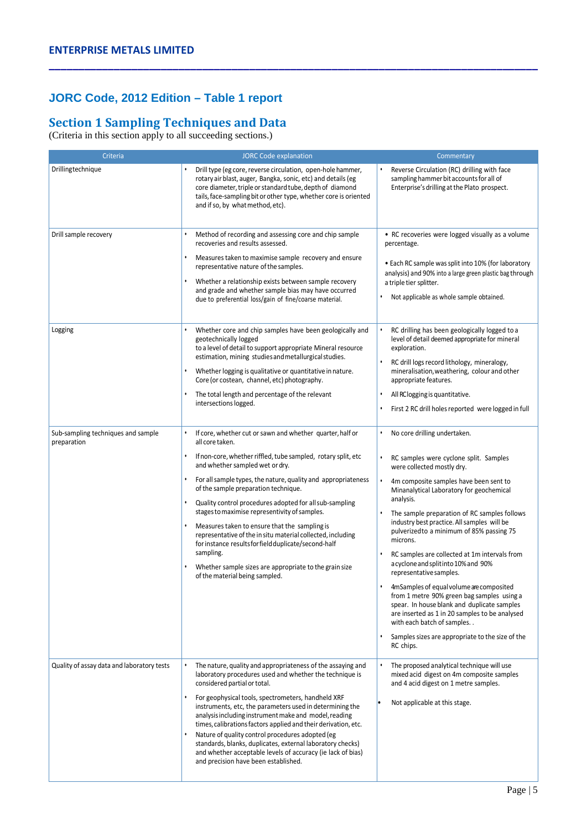# **JORC Code, 2012 Edition – Table 1 report**

# **Section 1 Sampling Techniques and Data**

(Criteria in this section apply to all succeeding sections.)

| Criteria                                          | <b>JORC Code explanation</b>                                                                                                                                                                                                                                                                                                                                                                                                                                                                                                                                                                                                                                                           | Commentary                                                                                                                                                                                                                                                                                                                                                                                                                                                                                                                                                                                                                                                                                                                                                                    |  |  |
|---------------------------------------------------|----------------------------------------------------------------------------------------------------------------------------------------------------------------------------------------------------------------------------------------------------------------------------------------------------------------------------------------------------------------------------------------------------------------------------------------------------------------------------------------------------------------------------------------------------------------------------------------------------------------------------------------------------------------------------------------|-------------------------------------------------------------------------------------------------------------------------------------------------------------------------------------------------------------------------------------------------------------------------------------------------------------------------------------------------------------------------------------------------------------------------------------------------------------------------------------------------------------------------------------------------------------------------------------------------------------------------------------------------------------------------------------------------------------------------------------------------------------------------------|--|--|
| Drillingtechnique                                 | Drill type (eg core, reverse circulation, open-hole hammer,<br>rotary air blast, auger, Bangka, sonic, etc) and details (eg<br>core diameter, triple or standard tube, depth of diamond<br>tails, face-sampling bit or other type, whether core is oriented<br>and if so, by what method, etc).                                                                                                                                                                                                                                                                                                                                                                                        | Reverse Circulation (RC) drilling with face<br>sampling hammer bit accounts for all of<br>Enterprise's drilling at the Plato prospect.                                                                                                                                                                                                                                                                                                                                                                                                                                                                                                                                                                                                                                        |  |  |
| Drill sample recovery                             | Method of recording and assessing core and chip sample<br>recoveries and results assessed.<br>Measures taken to maximise sample recovery and ensure<br>representative nature of the samples.<br>Whether a relationship exists between sample recovery<br>and grade and whether sample bias may have occurred<br>due to preferential loss/gain of fine/coarse material.                                                                                                                                                                                                                                                                                                                 | • RC recoveries were logged visually as a volume<br>percentage.<br>• Each RC sample was split into 10% (for laboratory<br>analysis) and 90% into a large green plastic bag through<br>a triple tier splitter.<br>Not applicable as whole sample obtained.                                                                                                                                                                                                                                                                                                                                                                                                                                                                                                                     |  |  |
| Logging                                           | Whether core and chip samples have been geologically and<br>geotechnically logged<br>to a level of detail to support appropriate Mineral resource<br>estimation, mining studies and metallurgical studies.<br>Whether logging is qualitative or quantitative in nature.<br>Core (or costean, channel, etc) photography.<br>The total length and percentage of the relevant<br>intersections logged.                                                                                                                                                                                                                                                                                    | RC drilling has been geologically logged to a<br>level of detail deemed appropriate for mineral<br>exploration.<br>RC drill logs record lithology, mineralogy,<br>mineralisation, weathering, colour and other<br>appropriate features.<br>All RClogging is quantitative.<br>First 2 RC drill holes reported were logged in full                                                                                                                                                                                                                                                                                                                                                                                                                                              |  |  |
| Sub-sampling techniques and sample<br>preparation | If core, whether cut or sawn and whether quarter, half or<br>all core taken.<br>If non-core, whether riffled, tube sampled, rotary split, etc<br>and whether sampled wet or dry.<br>For all sample types, the nature, quality and appropriateness<br>of the sample preparation technique.<br>Quality control procedures adopted for all sub-sampling<br>stages to maximise representivity of samples.<br>Measures taken to ensure that the sampling is<br>representative of the in situ material collected, including<br>for instance results for field duplicate/second-half<br>sampling.<br>Whether sample sizes are appropriate to the grain size<br>of the material being sampled. | No core drilling undertaken.<br>RC samples were cyclone split. Samples<br>were collected mostly dry.<br>4m composite samples have been sent to<br>Minanalytical Laboratory for geochemical<br>analysis.<br>The sample preparation of RC samples follows<br>industry best practice. All samples will be<br>pulverized to a minimum of 85% passing 75<br>microns.<br>RC samples are collected at 1m intervals from<br>a cyclone and split into 10% and 90%<br>representative samples.<br>4mSamples of equal volume are composited<br>from 1 metre 90% green bag samples using a<br>spear. In house blank and duplicate samples<br>are inserted as 1 in 20 samples to be analysed<br>with each batch of samples<br>Samples sizes are appropriate to the size of the<br>RC chips. |  |  |
| Quality of assay data and laboratory tests        | The nature, quality and appropriateness of the assaying and<br>laboratory procedures used and whether the technique is<br>considered partial or total.<br>For geophysical tools, spectrometers, handheld XRF<br>instruments, etc, the parameters used in determining the<br>analysis including instrument make and model, reading<br>times, calibrations factors applied and their derivation, etc.<br>Nature of quality control procedures adopted (eg<br>standards, blanks, duplicates, external laboratory checks)<br>and whether acceptable levels of accuracy (ie lack of bias)<br>and precision have been established.                                                           | The proposed analytical technique will use<br>mixed acid digest on 4m composite samples<br>and 4 acid digest on 1 metre samples.<br>Not applicable at this stage.                                                                                                                                                                                                                                                                                                                                                                                                                                                                                                                                                                                                             |  |  |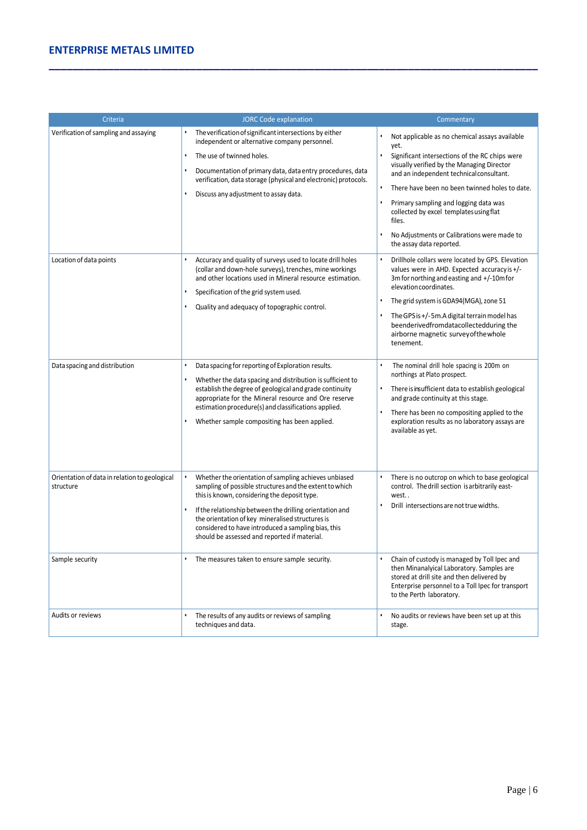### **ENTERPRISE METALS LIMITED**

| Criteria                                                   | <b>JORC Code explanation</b>                                                                                                                                                                                                                                                                                                                                                            | Commentary                                                                                                                                                                                                                                                                                     |  |  |
|------------------------------------------------------------|-----------------------------------------------------------------------------------------------------------------------------------------------------------------------------------------------------------------------------------------------------------------------------------------------------------------------------------------------------------------------------------------|------------------------------------------------------------------------------------------------------------------------------------------------------------------------------------------------------------------------------------------------------------------------------------------------|--|--|
| Verification of sampling and assaying                      | The verification of significant intersections by either<br>independent or alternative company personnel.                                                                                                                                                                                                                                                                                | Not applicable as no chemical assays available<br>yet.                                                                                                                                                                                                                                         |  |  |
|                                                            | The use of twinned holes.<br>$\bullet$                                                                                                                                                                                                                                                                                                                                                  | Significant intersections of the RC chips were<br>$\bullet$                                                                                                                                                                                                                                    |  |  |
|                                                            | Documentation of primary data, data entry procedures, data<br>verification, data storage (physical and electronic) protocols.<br>Discuss any adjustment to assay data.                                                                                                                                                                                                                  | visually verified by the Managing Director<br>and an independent technical consultant.                                                                                                                                                                                                         |  |  |
|                                                            |                                                                                                                                                                                                                                                                                                                                                                                         | There have been no been twinned holes to date.                                                                                                                                                                                                                                                 |  |  |
|                                                            |                                                                                                                                                                                                                                                                                                                                                                                         | Primary sampling and logging data was<br>collected by excel templates using flat<br>files.                                                                                                                                                                                                     |  |  |
|                                                            |                                                                                                                                                                                                                                                                                                                                                                                         | No Adjustments or Calibrations were made to<br>the assay data reported.                                                                                                                                                                                                                        |  |  |
| Location of data points                                    | Accuracy and quality of surveys used to locate drill holes<br>(collar and down-hole surveys), trenches, mine workings<br>and other locations used in Mineral resource estimation.<br>٠                                                                                                                                                                                                  | Drillhole collars were located by GPS. Elevation<br>values were in AHD. Expected accuracy is +/-<br>3m for northing and easting and +/-10m for<br>elevation coordinates.                                                                                                                       |  |  |
|                                                            | Specification of the grid system used.<br>Quality and adequacy of topographic control.                                                                                                                                                                                                                                                                                                  | The grid system is GDA94(MGA), zone 51                                                                                                                                                                                                                                                         |  |  |
|                                                            |                                                                                                                                                                                                                                                                                                                                                                                         | The GPS is +/-5m.A digital terrain model has<br>beenderivedfromdatacollectedduring the<br>airborne magnetic survey of the whole<br>tenement.                                                                                                                                                   |  |  |
| Data spacing and distribution                              | Data spacing for reporting of Exploration results.<br>$\bullet$<br>Whether the data spacing and distribution is sufficient to<br>establish the degree of geological and grade continuity<br>appropriate for the Mineral resource and Ore reserve<br>estimation procedure(s) and classifications applied.<br>Whether sample compositing has been applied.                                | The nominal drill hole spacing is 200m on<br>northings at Plato prospect.<br>There is insufficient data to establish geological<br>and grade continuity at this stage.<br>There has been no compositing applied to the<br>exploration results as no laboratory assays are<br>available as yet. |  |  |
| Orientation of data in relation to geological<br>structure | Whether the orientation of sampling achieves unbiased<br>sampling of possible structures and the extent to which<br>this is known, considering the deposit type.<br>If the relationship between the drilling orientation and<br>the orientation of key mineralised structures is<br>considered to have introduced a sampling bias, this<br>should be assessed and reported if material. | There is no outcrop on which to base geological<br>control. The drill section is arbitrarily east-<br>west<br>Drill intersections are not true widths.                                                                                                                                         |  |  |
| Sample security                                            | The measures taken to ensure sample security.                                                                                                                                                                                                                                                                                                                                           | Chain of custody is managed by Toll Ipec and<br>then Minanalyical Laboratory. Samples are<br>stored at drill site and then delivered by<br>Enterprise personnel to a Toll Ipec for transport<br>to the Perth laboratory.                                                                       |  |  |
| Audits or reviews                                          | The results of any audits or reviews of sampling<br>techniques and data.                                                                                                                                                                                                                                                                                                                | No audits or reviews have been set up at this<br>stage.                                                                                                                                                                                                                                        |  |  |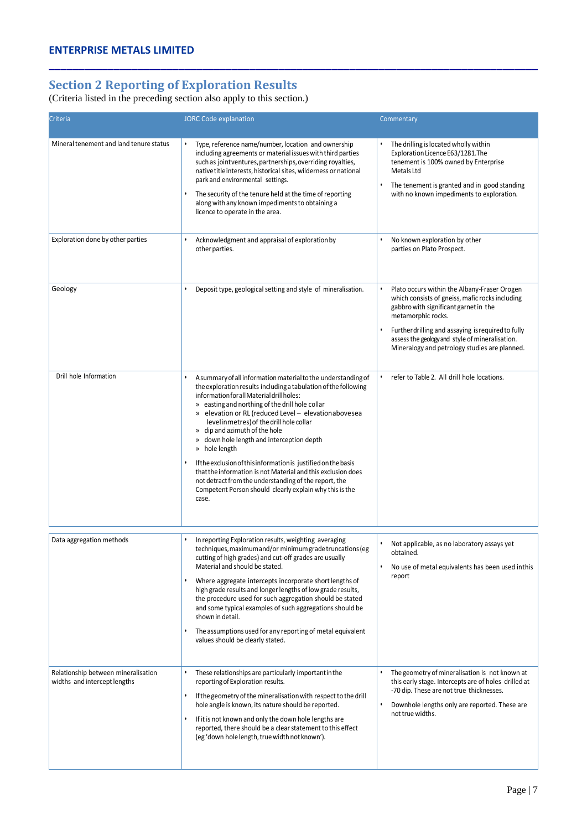# **Section 2 Reporting of Exploration Results**

(Criteria listed in the preceding section also apply to this section.)

| Criteria                                                            | <b>JORC Code explanation</b>                                                                                                                                                                                                                                                                                                                                                                                                                                                                                                                                                                                                                                                                       | Commentary                                                                                                                                                                                                                                                                                                               |
|---------------------------------------------------------------------|----------------------------------------------------------------------------------------------------------------------------------------------------------------------------------------------------------------------------------------------------------------------------------------------------------------------------------------------------------------------------------------------------------------------------------------------------------------------------------------------------------------------------------------------------------------------------------------------------------------------------------------------------------------------------------------------------|--------------------------------------------------------------------------------------------------------------------------------------------------------------------------------------------------------------------------------------------------------------------------------------------------------------------------|
| Mineral tenement and land tenure status                             | Type, reference name/number, location and ownership<br>including agreements or material issues with third parties<br>such as jointventures, partnerships, overriding royalties,<br>native title interests, historical sites, wilderness or national<br>park and environmental settings.<br>The security of the tenure held at the time of reporting<br>along with any known impediments to obtaining a<br>licence to operate in the area.                                                                                                                                                                                                                                                          | The drilling is located wholly within<br>Exploration Licence E63/1281.The<br>tenement is 100% owned by Enterprise<br>Metals Ltd<br>The tenement is granted and in good standing<br>with no known impediments to exploration.                                                                                             |
| Exploration done by other parties                                   | Acknowledgment and appraisal of exploration by<br>other parties.                                                                                                                                                                                                                                                                                                                                                                                                                                                                                                                                                                                                                                   | No known exploration by other<br>parties on Plato Prospect.                                                                                                                                                                                                                                                              |
| Geology                                                             | Deposit type, geological setting and style of mineralisation.<br>$\bullet$                                                                                                                                                                                                                                                                                                                                                                                                                                                                                                                                                                                                                         | Plato occurs within the Albany-Fraser Orogen<br>which consists of gneiss, mafic rocks including<br>gabbro with significant garnet in the<br>metamorphic rocks.<br>Further drilling and assaying is required to fully<br>assess the geology and style of mineralisation.<br>Mineralogy and petrology studies are planned. |
| Drill hole Information                                              | A summary of all information material to the understanding of<br>the exploration results including a tabulation of the following<br>information for all Material drillholes:<br>» easting and northing of the drill hole collar<br>» elevation or RL (reduced Level - elevationabovesea<br>level in metres) of the drill hole collar<br>» dip and azimuth of the hole<br>» down hole length and interception depth<br>» hole length<br>If the exclusion of this information is justified on the basis<br>that the information is not Material and this exclusion does<br>not detract from the understanding of the report, the<br>Competent Person should clearly explain why this is the<br>case. | refer to Table 2. All drill hole locations.<br>$\bullet$                                                                                                                                                                                                                                                                 |
| Data aggregation methods                                            | In reporting Exploration results, weighting averaging<br>techniques, maximum and/or minimum grade truncations (eg<br>cutting of high grades) and cut-off grades are usually<br>Material and should be stated.<br>Where aggregate intercepts incorporate short lengths of<br>high grade results and longer lengths of low grade results,<br>the procedure used for such aggregation should be stated<br>and some typical examples of such aggregations should be<br>shown in detail.<br>The assumptions used for any reporting of metal equivalent<br>values should be clearly stated.                                                                                                              | Not applicable, as no laboratory assays yet<br>obtained.<br>No use of metal equivalents has been used in this<br>report                                                                                                                                                                                                  |
| Relationship between mineralisation<br>widths and intercept lengths | These relationships are particularly important in the<br>$\bullet$<br>reporting of Exploration results.<br>If the geometry of the mineralisation with respect to the drill<br>٠<br>hole angle is known, its nature should be reported.<br>If it is not known and only the down hole lengths are<br>reported, there should be a clear statement to this effect<br>(eg 'down hole length, true width not known').                                                                                                                                                                                                                                                                                    | The geometry of mineralisation is not known at<br>this early stage. Intercepts are of holes drilled at<br>-70 dip. These are not true thicknesses.<br>Downhole lengths only are reported. These are<br>not true widths.                                                                                                  |